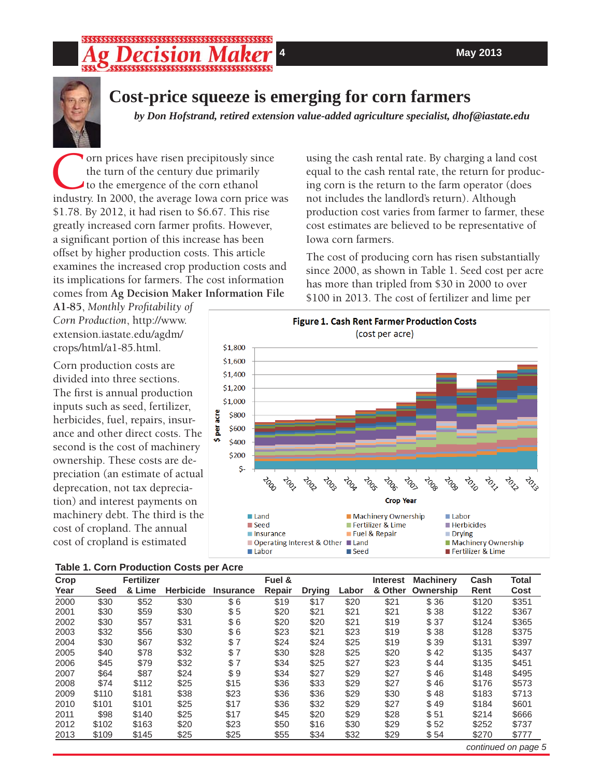

# **Cost-price squeeze is emerging for corn farmers**

*by Don Hofstrand, retired extension value-added agriculture specialist, dhof@iastate.edu* 

The urn of the century due primarily to the emergence of the corn ethanol industry. In 2000, the average Iowa corn price was the turn of the century due primarily to the emergence of the corn ethanol \$1.78. By 2012, it had risen to \$6.67. This rise greatly increased corn farmer profits. However, a significant portion of this increase has been offset by higher production costs. This article examines the increased crop production costs and its implications for farmers. The cost information comes from **Ag Decision Maker Information File** 

**A1-85**, *Monthly Profi tability of Corn Production*, http://www. extension.iastate.edu/agdm/ crops/html/a1-85.html.

Corn production costs are divided into three sections. The first is annual production inputs such as seed, fertilizer, herbicides, fuel, repairs, insurance and other direct costs. The second is the cost of machinery ownership. These costs are depreciation (an estimate of actual deprecation, not tax depreciation) and interest payments on machinery debt. The third is the cost of cropland. The annual cost of cropland is estimated



| Crop |             | <b>Fertilizer</b> |                  | Fuel &           |        |               | <b>Interest</b> | <b>Machinery</b> | Cash      | <b>Total</b> |       |
|------|-------------|-------------------|------------------|------------------|--------|---------------|-----------------|------------------|-----------|--------------|-------|
| Year | <b>Seed</b> | & Lime            | <b>Herbicide</b> | <b>Insurance</b> | Repair | <b>Drying</b> | Labor           | & Other          | Ownership | Rent         | Cost  |
| 2000 | \$30        | \$52              | \$30             | \$6              | \$19   | \$17          | \$20            | \$21             | \$36      | \$120        | \$351 |
| 2001 | \$30        | \$59              | \$30             | \$5              | \$20   | \$21          | \$21            | \$21             | \$38      | \$122        | \$367 |
| 2002 | \$30        | \$57              | \$31             | \$6              | \$20   | \$20          | \$21            | \$19             | \$37      | \$124        | \$365 |
| 2003 | \$32        | \$56              | \$30             | \$6              | \$23   | \$21          | \$23            | \$19             | \$38      | \$128        | \$375 |
| 2004 | \$30        | \$67              | \$32             | \$7              | \$24   | \$24          | \$25            | \$19             | \$39      | \$131        | \$397 |
| 2005 | \$40        | \$78              | \$32             | \$7              | \$30   | \$28          | \$25            | \$20             | \$42      | \$135        | \$437 |
| 2006 | \$45        | \$79              | \$32             | \$7              | \$34   | \$25          | \$27            | \$23             | \$44      | \$135        | \$451 |
| 2007 | \$64        | \$87              | \$24             | \$9              | \$34   | \$27          | \$29            | \$27             | \$46      | \$148        | \$495 |
| 2008 | \$74        | \$112             | \$25             | \$15             | \$36   | \$33          | \$29            | \$27             | \$46      | \$176        | \$573 |
| 2009 | \$110       | \$181             | \$38             | \$23             | \$36   | \$36          | \$29            | \$30             | \$48      | \$183        | \$713 |
| 2010 | \$101       | \$101             | \$25             | \$17             | \$36   | \$32          | \$29            | \$27             | \$49      | \$184        | \$601 |
| 2011 | \$98        | \$140             | \$25             | \$17             | \$45   | \$20          | \$29            | \$28             | \$51      | \$214        | \$666 |
| 2012 | \$102       | \$163             | \$20             | \$23             | \$50   | \$16          | \$30            | \$29             | \$52      | \$252        | \$737 |
| 2013 | \$109       | \$145             | \$25             | \$25             | \$55   | \$34          | \$32            | \$29             | \$54      | \$270        | \$777 |

using the cash rental rate. By charging a land cost equal to the cash rental rate, the return for producing corn is the return to the farm operator (does not includes the landlord's return). Although production cost varies from farmer to farmer, these cost estimates are believed to be representative of Iowa corn farmers.

The cost of producing corn has risen substantially since 2000, as shown in Table 1. Seed cost per acre has more than tripled from \$30 in 2000 to over \$100 in 2013. The cost of fertilizer and lime per

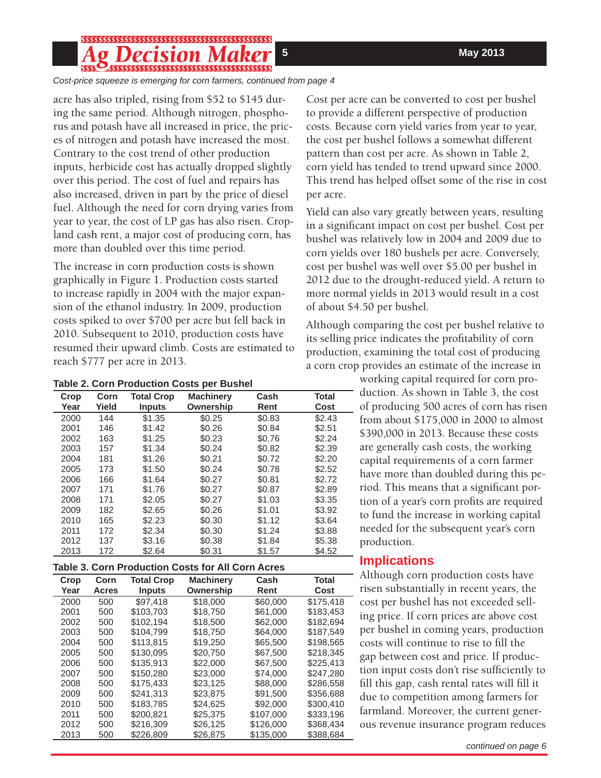## *ecision Ma*

*Cost-price squeeze is emerging for corn farmers, continued from page 4*

acre has also tripled, rising from \$52 to \$145 during the same period. Although nitrogen, phosphorus and potash have all increased in price, the prices of nitrogen and potash have increased the most. Contrary to the cost trend of other production inputs, herbicide cost has actually dropped slightly over this period. The cost of fuel and repairs has also increased, driven in part by the price of diesel fuel. Although the need for corn drying varies from year to year, the cost of LP gas has also risen. Cropland cash rent, a major cost of producing corn, has more than doubled over this time period.

The increase in corn production costs is shown graphically in Figure 1. Production costs started to increase rapidly in 2004 with the major expansion of the ethanol industry. In 2009, production costs spiked to over \$700 per acre but fell back in 2010. Subsequent to 2010, production costs have resumed their upward climb. Costs are estimated to reach \$777 per acre in 2013.

| Table 2. Corn Production Costs per Bushel |  |  |  |
|-------------------------------------------|--|--|--|
|-------------------------------------------|--|--|--|

| Crop | Corn  | <b>Total Crop</b> | <b>Machinery</b> | Cash   | Total  |
|------|-------|-------------------|------------------|--------|--------|
| Year | Yield | <b>Inputs</b>     | Ownership        | Rent   | Cost   |
| 2000 | 144   | \$1.35            | \$0.25           | \$0.83 | \$2.43 |
| 2001 | 146   | \$1.42            | \$0.26           | \$0.84 | \$2.51 |
| 2002 | 163   | \$1.25            | \$0.23           | \$0.76 | \$2.24 |
| 2003 | 157   | \$1.34            | \$0.24           | \$0.82 | \$2.39 |
| 2004 | 181   | \$1.26            | \$0.21           | \$0.72 | \$2.20 |
| 2005 | 173   | \$1.50            | \$0.24           | \$0.78 | \$2.52 |
| 2006 | 166   | \$1.64            | \$0.27           | \$0.81 | \$2.72 |
| 2007 | 171   | \$1.76            | \$0.27           | \$0.87 | \$2.89 |
| 2008 | 171   | \$2.05            | \$0.27           | \$1.03 | \$3.35 |
| 2009 | 182   | \$2.65            | \$0.26           | \$1.01 | \$3.92 |
| 2010 | 165   | \$2.23            | \$0.30           | \$1.12 | \$3.64 |
| 2011 | 172   | \$2.34            | \$0.30           | \$1.24 | \$3.88 |
| 2012 | 137   | \$3.16            | \$0.38           | \$1.84 | \$5.38 |
| 2013 | 172   | \$2.64            | \$0.31           | \$1.57 | \$4.52 |

**Table 3. Corn Production Costs for All Corn Acres**

| Crop | <b>Total Crop</b><br>Corn |               | <b>Machinery</b> | Cash      | Total     |  |
|------|---------------------------|---------------|------------------|-----------|-----------|--|
| Year | <b>Acres</b>              | <b>Inputs</b> | Ownership        | Rent      | Cost      |  |
| 2000 | 500                       | \$97.418      | \$18,000         | \$60,000  | \$175.418 |  |
| 2001 | 500                       | \$103.703     | \$18.750         | \$61,000  | \$183.453 |  |
| 2002 | 500                       | \$102.194     | \$18,500         | \$62,000  | \$182,694 |  |
| 2003 | 500                       | \$104.799     | \$18.750         | \$64,000  | \$187,549 |  |
| 2004 | 500                       | \$113.815     | \$19.250         | \$65,500  | \$198.565 |  |
| 2005 | 500                       | \$130.095     | \$20,750         | \$67,500  | \$218,345 |  |
| 2006 | 500                       | \$135.913     | \$22,000         | \$67,500  | \$225.413 |  |
| 2007 | 500                       | \$150.280     | \$23,000         | \$74.000  | \$247,280 |  |
| 2008 | 500                       | \$175.433     | \$23.125         | \$88,000  | \$286,558 |  |
| 2009 | 500                       | \$241.313     | \$23.875         | \$91.500  | \$356,688 |  |
| 2010 | 500                       | \$183.785     | \$24.625         | \$92,000  | \$300.410 |  |
| 2011 | 500                       | \$200.821     | \$25.375         | \$107.000 | \$333,196 |  |
| 2012 | 500                       | \$216,309     | \$26,125         | \$126,000 | \$368,434 |  |
| 2013 | 500                       | \$226,809     | \$26,875         | \$135,000 | \$388,684 |  |

Cost per acre can be converted to cost per bushel to provide a different perspective of production costs. Because corn yield varies from year to year, the cost per bushel follows a somewhat different pattern than cost per acre. As shown in Table 2, corn yield has tended to trend upward since 2000. This trend has helped offset some of the rise in cost per acre.

Yield can also vary greatly between years, resulting in a significant impact on cost per bushel. Cost per bushel was relatively low in 2004 and 2009 due to corn yields over 180 bushels per acre. Conversely, cost per bushel was well over \$5.00 per bushel in 2012 due to the drought-reduced yield. A return to more normal yields in 2013 would result in a cost of about \$4.50 per bushel.

Although comparing the cost per bushel relative to its selling price indicates the profitability of corn production, examining the total cost of producing a corn crop provides an estimate of the increase in

> working capital required for corn production. As shown in Table 3, the cost of producing 500 acres of corn has risen from about \$175,000 in 2000 to almost \$390,000 in 2013. Because these costs are generally cash costs, the working capital requirements of a corn farmer have more than doubled during this period. This means that a significant portion of a year's corn profits are required to fund the increase in working capital needed for the subsequent year's corn production.

## **Implications**

Although corn production costs have risen substantially in recent years, the cost per bushel has not exceeded selling price. If corn prices are above cost per bushel in coming years, production costs will continue to rise to fill the gap between cost and price. If production input costs don't rise sufficiently to fill this gap, cash rental rates will fill it due to competition among farmers for farmland. Moreover, the current generous revenue insurance program reduces